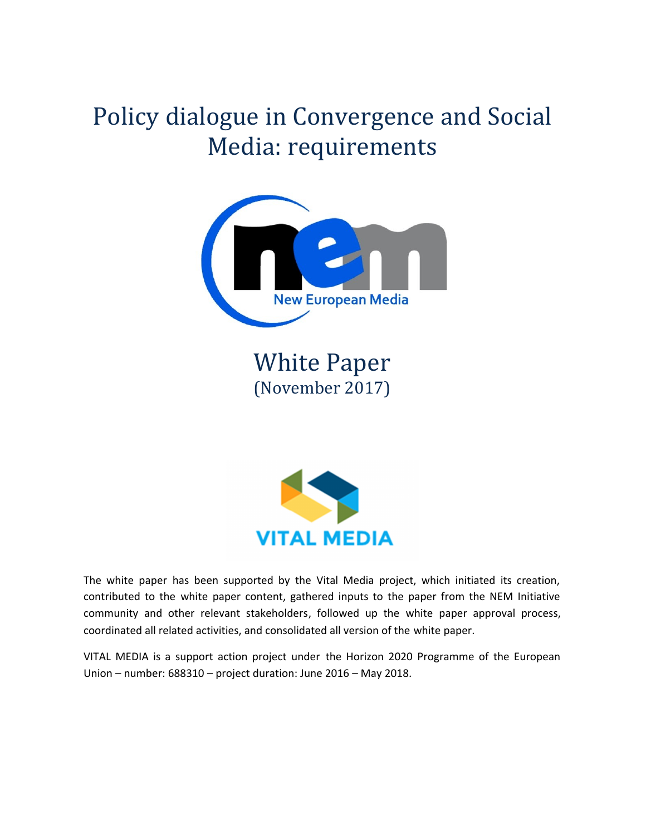# Policy dialogue in Convergence and Social Media: requirements



**White Paper** (November 2017)



The white paper has been supported by the Vital Media project, which initiated its creation, contributed to the white paper content, gathered inputs to the paper from the NEM Initiative community and other relevant stakeholders, followed up the white paper approval process, coordinated all related activities, and consolidated all version of the white paper.

VITAL MEDIA is a support action project under the Horizon 2020 Programme of the European Union – number: 688310 – project duration: June 2016 – May 2018.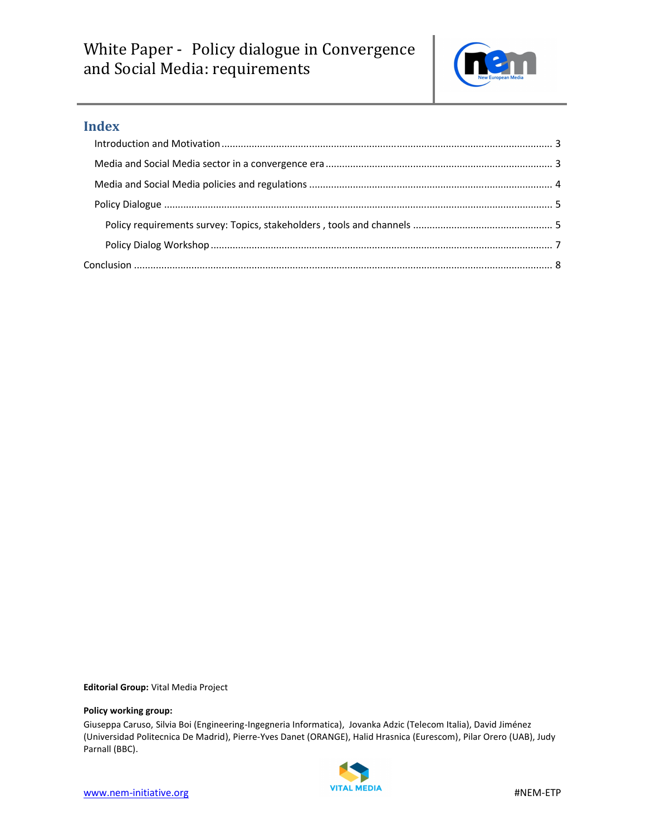

## **Index**

**Editorial Group:** Vital Media Project

#### **Policy working group:**

Giuseppa Caruso, Silvia Boi (Engineering-Ingegneria Informatica), Jovanka Adzic (Telecom Italia), David Jiménez (Universidad Politecnica De Madrid), Pierre-Yves Danet (ORANGE), Halid Hrasnica (Eurescom), Pilar Orero (UAB), Judy Parnall (BBC).

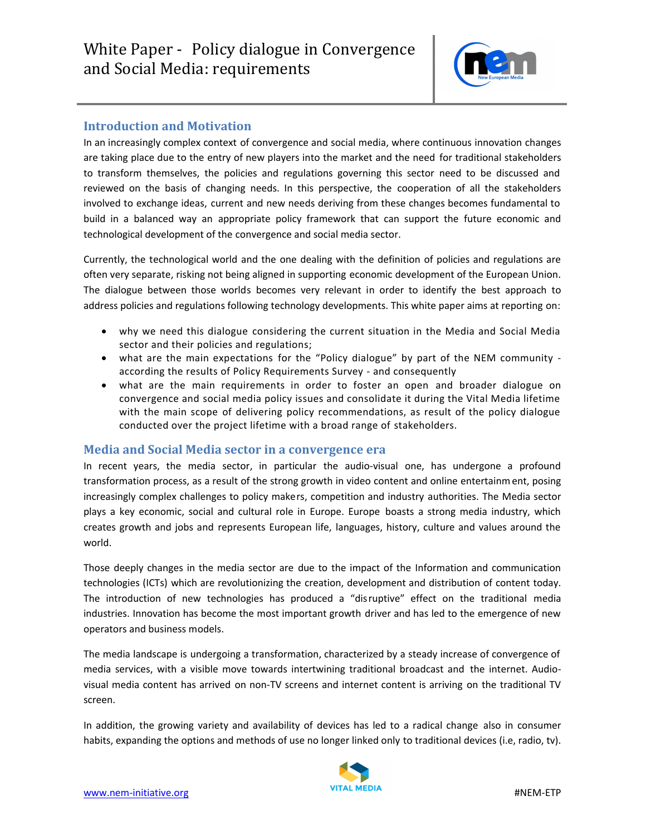

## **Introduction and Motivation**

In an increasingly complex context of convergence and social media, where continuous innovation changes are taking place due to the entry of new players into the market and the need for traditional stakeholders to transform themselves, the policies and regulations governing this sector need to be discussed and reviewed on the basis of changing needs. In this perspective, the cooperation of all the stakeholders involved to exchange ideas, current and new needs deriving from these changes becomes fundamental to build in a balanced way an appropriate policy framework that can support the future economic and technological development of the convergence and social media sector.

Currently, the technological world and the one dealing with the definition of policies and regulations are often very separate, risking not being aligned in supporting economic development of the European Union. The dialogue between those worlds becomes very relevant in order to identify the best approach to address policies and regulations following technology developments. This white paper aims at reporting on:

- why we need this dialogue considering the current situation in the Media and Social Media sector and their policies and regulations;
- what are the main expectations for the "Policy dialogue" by part of the NEM community according the results of Policy Requirements Survey - and consequently
- what are the main requirements in order to foster an open and broader dialogue on convergence and social media policy issues and consolidate it during the Vital Media lifetime with the main scope of delivering policy recommendations, as result of the policy dialogue conducted over the project lifetime with a broad range of stakeholders.

### **Media and Social Media sector in a convergence era**

In recent years, the media sector, in particular the audio-visual one, has undergone a profound transformation process, as a result of the strong growth in video content and online entertainment, posing increasingly complex challenges to policy makers, competition and industry authorities. The Media sector plays a key economic, social and cultural role in Europe. Europe boasts a strong media industry, which creates growth and jobs and represents European life, languages, history, culture and values around the world.

Those deeply changes in the media sector are due to the impact of the Information and communication technologies (ICTs) which are revolutionizing the creation, development and distribution of content today. The introduction of new technologies has produced a "disruptive" effect on the traditional media industries. Innovation has become the most important growth driver and has led to the emergence of new operators and business models.

The media landscape is undergoing a transformation, characterized by a steady increase of convergence of media services, with a visible move towards intertwining traditional broadcast and the internet. Audiovisual media content has arrived on non-TV screens and internet content is arriving on the traditional TV screen.

In addition, the growing variety and availability of devices has led to a radical change also in consumer habits, expanding the options and methods of use no longer linked only to traditional devices (i.e, radio, tv).

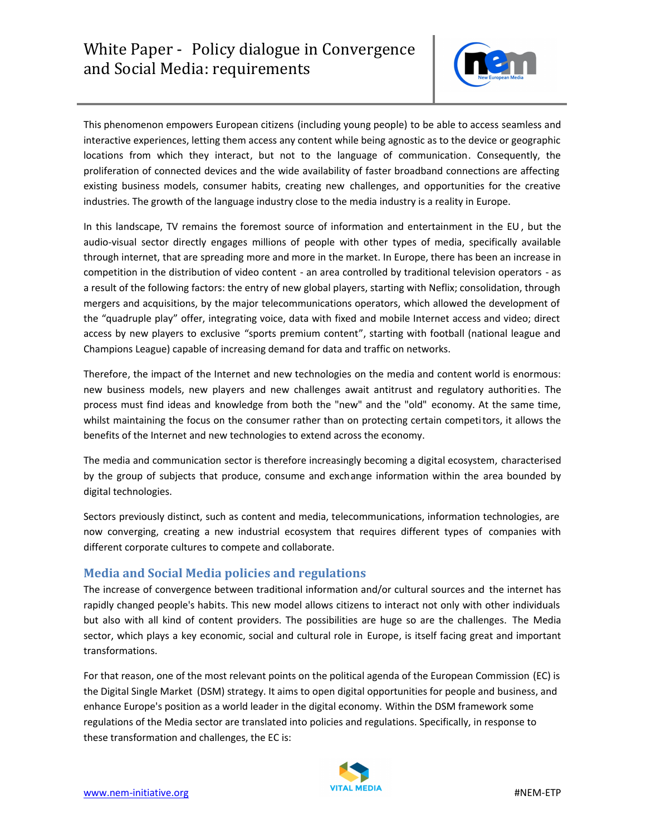

This phenomenon empowers European citizens (including young people) to be able to access seamless and interactive experiences, letting them access any content while being agnostic as to the device or geographic locations from which they interact, but not to the language of communication. Consequently, the proliferation of connected devices and the wide availability of faster broadband connections are affecting existing business models, consumer habits, creating new challenges, and opportunities for the creative industries. The growth of the language industry close to the media industry is a reality in Europe.

In this landscape, TV remains the foremost source of information and entertainment in the EU , but the audio-visual sector directly engages millions of people with other types of media, specifically available through internet, that are spreading more and more in the market. In Europe, there has been an increase in competition in the distribution of video content - an area controlled by traditional television operators - as a result of the following factors: the entry of new global players, starting with Neflix; consolidation, through mergers and acquisitions, by the major telecommunications operators, which allowed the development of the "quadruple play" offer, integrating voice, data with fixed and mobile Internet access and video; direct access by new players to exclusive "sports premium content", starting with football (national league and Champions League) capable of increasing demand for data and traffic on networks.

Therefore, the impact of the Internet and new technologies on the media and content world is enormous: new business models, new players and new challenges await antitrust and regulatory authorities. The process must find ideas and knowledge from both the "new" and the "old" economy. At the same time, whilst maintaining the focus on the consumer rather than on protecting certain competitors, it allows the benefits of the Internet and new technologies to extend across the economy.

The media and communication sector is therefore increasingly becoming a digital ecosystem, characterised by the group of subjects that produce, consume and exchange information within the area bounded by digital technologies.

Sectors previously distinct, such as content and media, telecommunications, information technologies, are now converging, creating a new industrial ecosystem that requires different types of companies with different corporate cultures to compete and collaborate.

## **Media and Social Media policies and regulations**

The increase of convergence between traditional information and/or cultural sources and the internet has rapidly changed people's habits. This new model allows citizens to interact not only with other individuals but also with all kind of content providers. The possibilities are huge so are the challenges. The Media sector, which plays a key economic, social and cultural role in Europe, is itself facing great and important transformations.

For that reason, one of the most relevant points on the political agenda of the European Commission (EC) is the Digital Single Market (DSM) strategy. It aims to open digital opportunities for people and business, and enhance Europe's position as a world leader in the digital economy. Within the DSM framework some regulations of the Media sector are translated into policies and regulations. Specifically, in response to these transformation and challenges, the EC is:

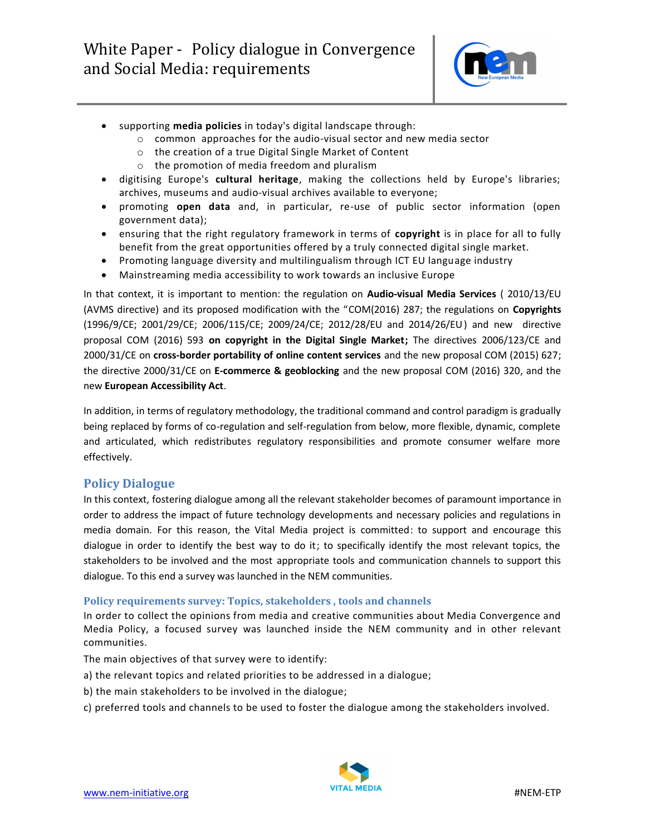

- supporting **media policies** in today's digital landscape through:
	- o common approaches for the audio-visual sector and new media sector
	- o the creation of a true Digital Single Market of Content
	- o the promotion of media freedom and pluralism
- digitising Europe's **cultural heritage**, making the collections held by Europe's libraries; archives, museums and audio-visual archives available to everyone;
- promoting **open data** and, in particular, re-use of public sector information (open government data);
- ensuring that the right regulatory framework in terms of **copyright** is in place for all to fully benefit from the great opportunities offered by a truly connected digital single market.
- Promoting language diversity and multilingualism through ICT EU language industry
- Mainstreaming media accessibility to work towards an inclusive Europe

In that context, it is important to mention: the regulation on **Audio-visual Media Services** ( 2010/13/EU (AVMS directive) and its proposed modification with the "COM(2016) 287; the regulations on **Copyrights**  (1996/9/CE; 2001/29/CE; 2006/115/CE; 2009/24/CE; 2012/28/EU and 2014/26/EU) and new directive proposal COM (2016) 593 **on copyright in the Digital Single Market;** The directives 2006/123/CE and 2000/31/CE on **cross-border portability of online content services** and the new proposal COM (2015) 627; the directive 2000/31/CE on **E-commerce & geoblocking** and the new proposal COM (2016) 320, and the new **European Accessibility Act**.

In addition, in terms of regulatory methodology, the traditional command and control paradigm is gradually being replaced by forms of co-regulation and self-regulation from below, more flexible, dynamic, complete and articulated, which redistributes regulatory responsibilities and promote consumer welfare more effectively.

## **Policy Dialogue**

In this context, fostering dialogue among all the relevant stakeholder becomes of paramount importance in order to address the impact of future technology developments and necessary policies and regulations in media domain. For this reason, the Vital Media project is committed: to support and encourage this dialogue in order to identify the best way to do it; to specifically identify the most relevant topics, the stakeholders to be involved and the most appropriate tools and communication channels to support this dialogue. To this end a survey was launched in the NEM communities.

### **Policy requirements survey: Topics, stakeholders, tools and channels**

In order to collect the opinions from media and creative communities about Media Convergence and Media Policy, a focused survey was launched inside the NEM community and in other relevant communities.

The main objectives of that survey were to identify:

- a) the relevant topics and related priorities to be addressed in a dialogue;
- b) the main stakeholders to be involved in the dialogue;
- c) preferred tools and channels to be used to foster the dialogue among the stakeholders involved.

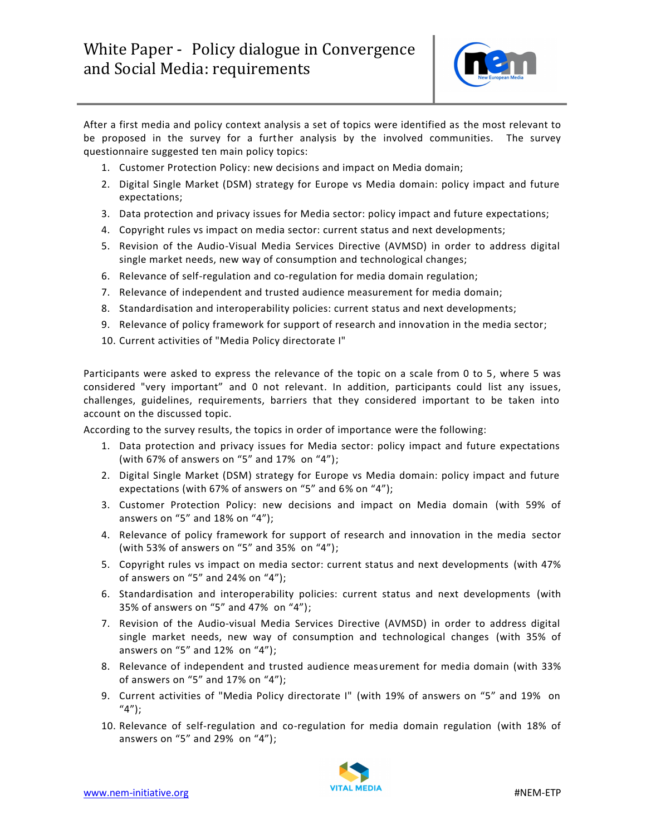

After a first media and policy context analysis a set of topics were identified as the most relevant to be proposed in the survey for a further analysis by the involved communities. The survey questionnaire suggested ten main policy topics:

- 1. Customer Protection Policy: new decisions and impact on Media domain;
- 2. Digital Single Market (DSM) strategy for Europe vs Media domain: policy impact and future expectations;
- 3. Data protection and privacy issues for Media sector: policy impact and future expectations;
- 4. Copyright rules vs impact on media sector: current status and next developments;
- 5. Revision of the Audio-Visual Media Services Directive (AVMSD) in order to address digital single market needs, new way of consumption and technological changes;
- 6. Relevance of self-regulation and co-regulation for media domain regulation;
- 7. Relevance of independent and trusted audience measurement for media domain;
- 8. Standardisation and interoperability policies: current status and next developments;
- 9. Relevance of policy framework for support of research and innovation in the media sector;
- 10. Current activities of "Media Policy directorate I"

Participants were asked to express the relevance of the topic on a scale from 0 to 5, where 5 was considered "very important" and 0 not relevant. In addition, participants could list any issues, challenges, guidelines, requirements, barriers that they considered important to be taken into account on the discussed topic.

According to the survey results, the topics in order of importance were the following:

- 1. Data protection and privacy issues for Media sector: policy impact and future expectations (with 67% of answers on "5" and 17% on "4");
- 2. Digital Single Market (DSM) strategy for Europe vs Media domain: policy impact and future expectations (with 67% of answers on "5" and 6% on "4");
- 3. Customer Protection Policy: new decisions and impact on Media domain (with 59% of answers on "5" and 18% on "4");
- 4. Relevance of policy framework for support of research and innovation in the media sector (with 53% of answers on "5" and 35% on "4");
- 5. Copyright rules vs impact on media sector: current status and next developments (with 47% of answers on "5" and 24% on "4");
- 6. Standardisation and interoperability policies: current status and next developments (with 35% of answers on "5" and 47% on "4");
- 7. Revision of the Audio-visual Media Services Directive (AVMSD) in order to address digital single market needs, new way of consumption and technological changes (with 35% of answers on "5" and 12% on "4");
- 8. Relevance of independent and trusted audience measurement for media domain (with 33% of answers on "5" and 17% on "4");
- 9. Current activities of "Media Policy directorate I" (with 19% of answers on "5" and 19% on  $''4'$ );
- 10. Relevance of self-regulation and co-regulation for media domain regulation (with 18% of answers on "5" and 29% on "4");

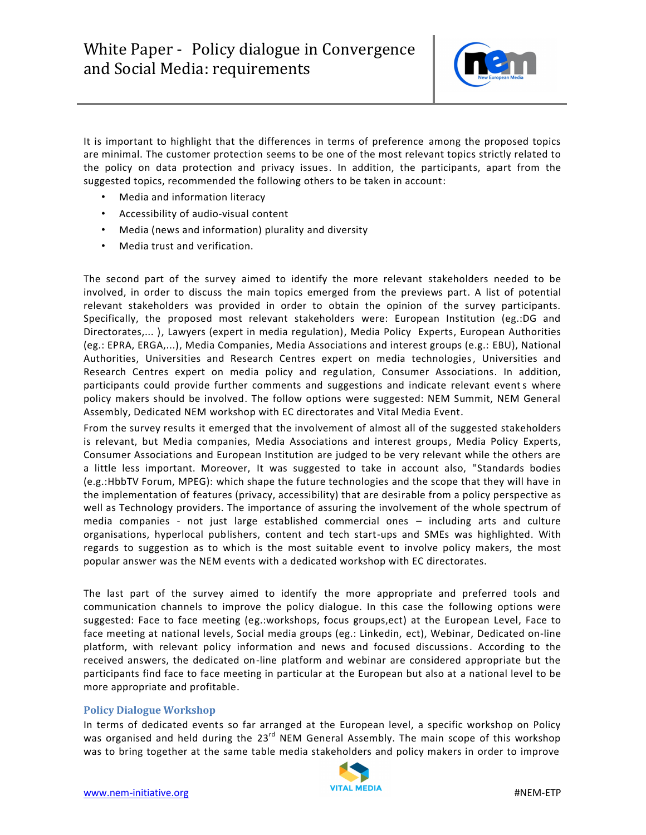

It is important to highlight that the differences in terms of preference among the proposed topics are minimal. The customer protection seems to be one of the most relevant topics strictly related to the policy on data protection and privacy issues. In addition, the participants, apart from the suggested topics, recommended the following others to be taken in account:

- Media and information literacy
- Accessibility of audio-visual content
- Media (news and information) plurality and diversity
- Media trust and verification.

The second part of the survey aimed to identify the more relevant stakeholders needed to be involved, in order to discuss the main topics emerged from the previews part. A list of potential relevant stakeholders was provided in order to obtain the opinion of the survey participants. Specifically, the proposed most relevant stakeholders were: European Institution (eg.:DG and Directorates,... ), Lawyers (expert in media regulation), Media Policy Experts, European Authorities (eg.: EPRA, ERGA,...), Media Companies, Media Associations and interest groups (e.g.: EBU), National Authorities, Universities and Research Centres expert on media technologies, Universities and Research Centres expert on media policy and regulation, Consumer Associations. In addition, participants could provide further comments and suggestions and indicate relevant events where policy makers should be involved. The follow options were suggested: NEM Summit, NEM General Assembly, Dedicated NEM workshop with EC directorates and Vital Media Event.

From the survey results it emerged that the involvement of almost all of the suggested stakeholders is relevant, but Media companies, Media Associations and interest groups, Media Policy Experts, Consumer Associations and European Institution are judged to be very relevant while the others are a little less important. Moreover, It was suggested to take in account also, "Standards bodies (e.g.:HbbTV Forum, MPEG): which shape the future technologies and the scope that they will have in the implementation of features (privacy, accessibility) that are desirable from a policy perspective as well as Technology providers. The importance of assuring the involvement of the whole spectrum of media companies - not just large established commercial ones – including arts and culture organisations, hyperlocal publishers, content and tech start-ups and SMEs was highlighted. With regards to suggestion as to which is the most suitable event to involve policy makers, the most popular answer was the NEM events with a dedicated workshop with EC directorates.

The last part of the survey aimed to identify the more appropriate and preferred tools and communication channels to improve the policy dialogue. In this case the following options were suggested: Face to face meeting (eg.:workshops, focus groups,ect) at the European Level, Face to face meeting at national levels, Social media groups (eg.: Linkedin, ect), Webinar, Dedicated on-line platform, with relevant policy information and news and focused discussions. According to the received answers, the dedicated on-line platform and webinar are considered appropriate but the participants find face to face meeting in particular at the European but also at a national level to be more appropriate and profitable.

### **Policy Dialogue Workshop**

In terms of dedicated events so far arranged at the European level, a specific workshop on Policy was organised and held during the 23<sup>rd</sup> NEM General Assembly. The main scope of this workshop was to bring together at the same table media stakeholders and policy makers in order to improve